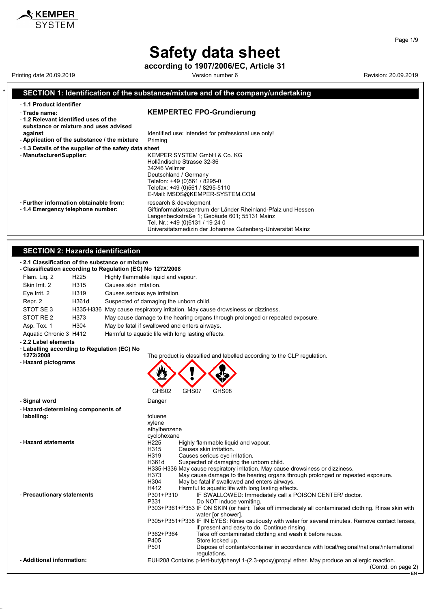## **Safety data sheet**

**according to 1907/2006/EC, Article 31**

#### \* **SECTION 1: Identification of the substance/mixture and of the company/undertaking** - **1.1 Product identifier** - **Trade name: KEMPERTEC FPO-Grundierung** - **1.2 Relevant identified uses of the substance or mixture and uses advised against against Identified use: intended for professional use only!**<br>**Application of the substance / the mixture** Priming - Application of the substance / the mixture - **1.3 Details of the supplier of the safety data sheet** - **Manufacturer/Supplier:** KEMPER SYSTEM GmbH & Co. KG Holländische Strasse 32-36 34246 Vellmar Deutschland / Germany Telefon: +49 (0)561 / 8295-0 Telefax: +49 (0)561 / 8295-5110 E-Mail: MSDS@KEMPER-SYSTEM.COM - **Further information obtainable from:** research & development<br>- 1.4 **Emergency telephone number:** Giftinformationszentrum Giftinformationszentrum der Länder Rheinland-Pfalz und Hessen Langenbeckstraße 1; Gebäude 601; 55131 Mainz Tel. Nr.: +49 (0)6131 / 19 24 0 Universitätsmedizin der Johannes Gutenberg-Universität Mainz **SECTION 2: Hazards identification** - **2.1 Classification of the substance or mixture** - **Classification according to Regulation (EC) No 1272/2008** Flam. Liq. 2 H225 Highly flammable liquid and vapour. Skin Irrit. 2 H315 Causes skin irritation. Eye Irrit. 2 H319 Causes serious eye irritation. Repr. 2 H361d Suspected of damaging the unborn child. STOT SE 3 H335-H336 May cause respiratory irritation. May cause drowsiness or dizziness. STOT RE 2 H373 May cause damage to the hearing organs through prolonged or repeated exposure. Asp. Tox. 1 H304 May be fatal if swallowed and enters airways. Aquatic Chronic 3 H412 Harmful to aquatic life with long lasting effects. - **2.2 Label elements** - **Labelling according to Regulation (EC) No 1272/2008** The product is classified and labelled according to the CLP regulation. - **Hazard pictograms** GHS02 GHS07 GHS08 - **Signal word** Danger - **Hazard-determining components of labelling:** toluene xylene ethylbenzene cyclohexane - **Hazard statements** H225 Highly flammable liquid and vapour.<br>H315 Causes skin irritation. H315 Causes skin irritation.<br>H319 Causes serious eve in H319 Causes serious eye irritation.<br>H361d Suspected of damaging the u Suspected of damaging the unborn child. H335-H336 May cause respiratory irritation. May cause drowsiness or dizziness. H373 May cause damage to the hearing organs through prolonged or repeated exposure.<br>H304 May be fatal if swallowed and enters airways. H304 May be fatal if swallowed and enters airways. H412 Harmful to aquatic life with long lasting effects.<br>P301+P310 IF SWALLOWED: Immediately call a P Precautionary statements<br>P331 Do NOT induce vomiting<br>P331 Do NOT induce vomiting Do NOT induce vomiting. P303+P361+P353 IF ON SKIN (or hair): Take off immediately all contaminated clothing. Rinse skin with water [or shower]. P305+P351+P338 IF IN EYES: Rinse cautiously with water for several minutes. Remove contact lenses, if present and easy to do. Continue rinsing. P362+P364 Take off contaminated clothing and wash it before reuse.<br>P405 Store locked up. P405 Store locked up.<br>P501 Dispose of conte Dispose of contents/container in accordance with local/regional/national/international regulations - **Additional information:** EUH208 Contains p-tert-butylphenyl 1-(2,3-epoxy)propyl ether. May produce an allergic reaction. (Contd. on page 2) EN

Page 1/9

 $\boldsymbol{\hat{x}}$  KEMPER

Printing date 20.09.2019 **Printing date 20.09.2019** Version number 6 Revision: 20.09.2019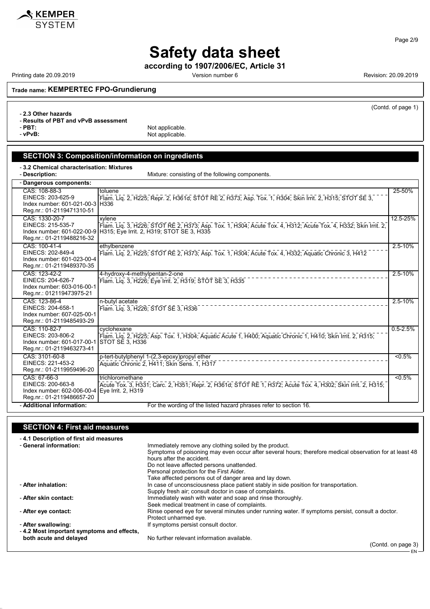

#### Page 2/9

# **Safety data sheet**

**according to 1907/2006/EC, Article 31**

Printing date 20.09.2019 **Printing date 20.09.2019** Version number 6 **Revision: 20.09.2019** Revision: 20.09.2019

(Contd. of page 1)

**Trade name: KEMPERTEC FPO-Grundierung**

- **2.3 Other hazards**

- **Results of PBT and vPvB assessment**

- **PBT:**<br>
- **vPvB:**<br>
Not applicable. Not applicable.

### **SECTION 3: Composition/information on ingredients** - **3.2 Chemical characterisation: Mixtures**

| Mixture: consisting of the following components. |
|--------------------------------------------------|
|                                                  |

| - Dangerous components:                                                                                         |                                                                                                                                                                                                  |              |  |
|-----------------------------------------------------------------------------------------------------------------|--------------------------------------------------------------------------------------------------------------------------------------------------------------------------------------------------|--------------|--|
| CAS: 108-88-3<br>EINECS: 203-625-9<br>Index number: 601-021-00-3 H336<br>Reg.nr.: 01-2119471310-51              | toluene<br>Flam. Lig. 2, H225; Repr. 2, H361d; STOT RE 2, H373; Asp. Tox. 1, H304; Skin Irrit. 2, H315; STOT SE 3,                                                                               | 25-50%       |  |
| CAS: 1330-20-7<br>EINECS: 215-535-7<br>Reg.nr.: 01-2119488216-32                                                | xylene<br>Flam. Liq. 3, H226; STOT RE 2, H373; Asp. Tox. 1, H304; Acute Tox. 4, H312; Acute Tox. 4, H332; Skin Irrit. 2,<br>Index number: 601-022-00-9 H315; Eye Irrit. 2, H319; STOT SE 3, H335 | 12.5-25%     |  |
| CAS: 100-41-4<br>EINECS: 202-849-4<br>Index number: 601-023-00-4<br>Reg.nr.: 01-2119489370-35                   | ethylbenzene<br>Flam, Lig. 2, H225; STOT RE 2, H373; Asp. Tox. 1, H304; Acute Tox. 4, H332; Aquatic Chronic 3, H412                                                                              | $2.5 - 10\%$ |  |
| CAS: 123-42-2<br>EINECS: 204-626-7<br>Index number: 603-016-00-1<br>Reg.nr.: 012119473975-21                    | 4-hydroxy-4-methylpentan-2-one<br>Flam. Lig. 3, H226; Eye Irrit. 2, H319; STOT SE 3, H335                                                                                                        | 2.5-10%      |  |
| CAS: 123-86-4<br>EINECS: 204-658-1<br>Index number: 607-025-00-1<br>Reg.nr.: 01-2119485493-29                   | n-butyl acetate<br>Flam. Lig. 3, H226; STOT SE 3, H336                                                                                                                                           | 2.5-10%      |  |
| CAS: 110-82-7<br>EINECS: 203-806-2<br>Index number: 601-017-00-1 STOT SE 3, H336<br>Reg.nr.: 01-2119463273-41   | cyclohexane<br>Flam. Liq. 2, H225, Asp. Tox. 1, H304, Aquatic Acute 1, H400, Aquatic Chronic 1, H410, Skin Irrit. 2, H315,                                                                       | $0.5 - 2.5%$ |  |
| CAS: 3101-60-8<br>EINECS: 221-453-2<br>Reg.nr.: 01-2119959496-20                                                | p-tert-butylphenyl 1-(2,3-epoxy)propyl ether<br>Aquatic Chronic 2, H411; Skin Sens. 1, H317                                                                                                      | $< 0.5\%$    |  |
| CAS: 67-66-3<br>EINECS: 200-663-8<br>Index number: 602-006-00-4 Eye Irrit. 2, H319<br>Reg.nr.: 01-2119486657-20 | trichloromethane<br>Acute Tox. 3, H331; Carc. 2, H351; Repr. 2, H361d; STOT RE 1, H372; Acute Tox. 4, H302; Skin Irrit. 2, H315;                                                                 | $< 0.5\%$    |  |
| - Additional information:                                                                                       | For the wording of the listed hazard phrases refer to section 16.                                                                                                                                |              |  |

### **SECTION 4: First aid measures**

| -4.1 Description of first aid measures    |                                                                                                         |
|-------------------------------------------|---------------------------------------------------------------------------------------------------------|
| - General information:                    | Immediately remove any clothing soiled by the product.                                                  |
|                                           | Symptoms of poisoning may even occur after several hours; therefore medical observation for at least 48 |
|                                           | hours after the accident.                                                                               |
|                                           | Do not leave affected persons unattended.                                                               |
|                                           | Personal protection for the First Aider.                                                                |
|                                           | Take affected persons out of danger area and lay down.                                                  |
| - After inhalation:                       | In case of unconsciousness place patient stably in side position for transportation.                    |
|                                           | Supply fresh air; consult doctor in case of complaints.                                                 |
| - After skin contact:                     | Immediately wash with water and soap and rinse thoroughly.                                              |
|                                           | Seek medical treatment in case of complaints.                                                           |
| - After eye contact:                      | Rinse opened eye for several minutes under running water. If symptoms persist, consult a doctor.        |
|                                           | Protect unharmed eye.                                                                                   |
| - After swallowing:                       | If symptoms persist consult doctor.                                                                     |
| -4.2 Most important symptoms and effects, |                                                                                                         |
| both acute and delayed                    | No further relevant information available.                                                              |
|                                           | $(Constant \cap A)$                                                                                     |

(Contd. on page 3) – EN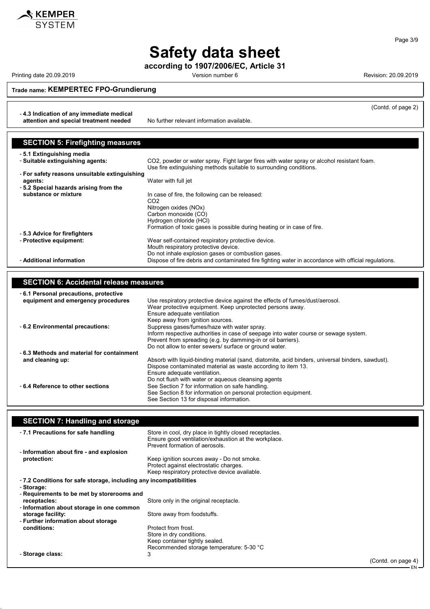

Printing date 20.09.2019 **Printing date 20.09.2019** Version number 6 **Revision: 20.09.2019** Revision: 20.09.2019

**Trade name: KEMPERTEC FPO-Grundierung**

- **4.3 Indication of any immediate medical**

**attention and special treatment needed** No further relevant information available.

| <b>SECTION 5: Firefighting measures</b>       |                                                                                                                                                                  |
|-----------------------------------------------|------------------------------------------------------------------------------------------------------------------------------------------------------------------|
| - 5.1 Extinguishing media                     |                                                                                                                                                                  |
| - Suitable extinguishing agents:              | CO2, powder or water spray. Fight larger fires with water spray or alcohol resistant foam.<br>Use fire extinguishing methods suitable to surrounding conditions. |
| - For safety reasons unsuitable extinguishing |                                                                                                                                                                  |
| agents:                                       | Water with full jet                                                                                                                                              |
| -5.2 Special hazards arising from the         |                                                                                                                                                                  |
| substance or mixture                          | In case of fire, the following can be released:                                                                                                                  |
|                                               | CO <sub>2</sub>                                                                                                                                                  |
|                                               | Nitrogen oxides (NOx)                                                                                                                                            |
|                                               | Carbon monoxide (CO)                                                                                                                                             |
|                                               | Hydrogen chloride (HCI)                                                                                                                                          |
|                                               | Formation of toxic gases is possible during heating or in case of fire.                                                                                          |
| - 5.3 Advice for firefighters                 |                                                                                                                                                                  |
| - Protective equipment:                       | Wear self-contained respiratory protective device.                                                                                                               |
|                                               | Mouth respiratory protective device.                                                                                                                             |
|                                               | Do not inhale explosion gases or combustion gases.                                                                                                               |
| - Additional information                      | Dispose of fire debris and contaminated fire fighting water in accordance with official regulations.                                                             |

### **SECTION 6: Accidental release measures**

| -6.1 Personal precautions, protective     |                                                                                                  |
|-------------------------------------------|--------------------------------------------------------------------------------------------------|
| equipment and emergency procedures        | Use respiratory protective device against the effects of fumes/dust/aerosol.                     |
|                                           | Wear protective equipment. Keep unprotected persons away.                                        |
|                                           | Ensure adequate ventilation                                                                      |
|                                           | Keep away from ignition sources.                                                                 |
| - 6.2 Environmental precautions:          | Suppress gases/fumes/haze with water spray.                                                      |
|                                           | Inform respective authorities in case of seepage into water course or sewage system.             |
|                                           | Prevent from spreading (e.g. by damming-in or oil barriers).                                     |
|                                           | Do not allow to enter sewers/ surface or ground water.                                           |
| -6.3 Methods and material for containment |                                                                                                  |
| and cleaning up:                          | Absorb with liquid-binding material (sand, diatomite, acid binders, universal binders, sawdust). |
|                                           | Dispose contaminated material as waste according to item 13.                                     |
|                                           | Ensure adequate ventilation.                                                                     |
|                                           | Do not flush with water or aqueous cleansing agents                                              |
| -6.4 Reference to other sections          | See Section 7 for information on safe handling.                                                  |
|                                           | See Section 8 for information on personal protection equipment.                                  |
|                                           | See Section 13 for disposal information.                                                         |

| <b>SECTION 7: Handling and storage</b>                                                                                                            |                    |
|---------------------------------------------------------------------------------------------------------------------------------------------------|--------------------|
| Store in cool, dry place in tightly closed receptacles.<br>Ensure good ventilation/exhaustion at the workplace.<br>Prevent formation of aerosols. |                    |
|                                                                                                                                                   |                    |
| Keep ignition sources away - Do not smoke.<br>Protect against electrostatic charges.<br>Keep respiratory protective device available.             |                    |
| -7.2 Conditions for safe storage, including any incompatibilities                                                                                 |                    |
|                                                                                                                                                   |                    |
| - Requirements to be met by storerooms and                                                                                                        |                    |
| Store only in the original receptacle.                                                                                                            |                    |
| - Information about storage in one common                                                                                                         |                    |
| Store away from foodstuffs.                                                                                                                       |                    |
|                                                                                                                                                   |                    |
| Protect from frost.                                                                                                                               |                    |
| Store in dry conditions.                                                                                                                          |                    |
| Keep container tightly sealed.                                                                                                                    |                    |
| Recommended storage temperature: 5-30 °C                                                                                                          |                    |
| 3                                                                                                                                                 |                    |
|                                                                                                                                                   | (Contd. on page 4) |
|                                                                                                                                                   |                    |



(Contd. of page 2)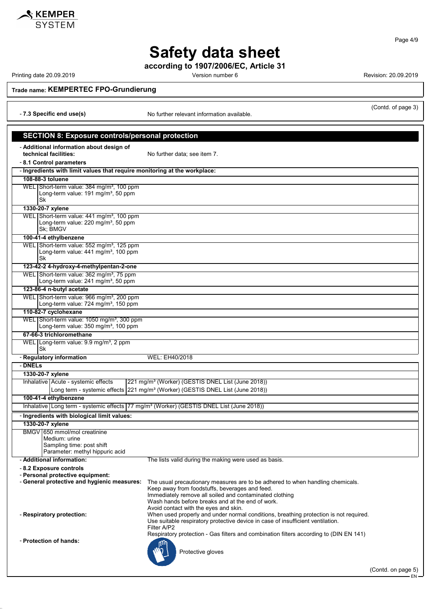

 $\boldsymbol{\mathsf{\$} }$  KEMPER

Printing date 20.09.2019 **Printing date 20.09.2019** Version number 6 **Revision: 20.09.2019** Revision: 20.09.2019

Page 4/9

**Trade name: KEMPERTEC FPO-Grundierung**

| (Contd. of page 3) |  |
|--------------------|--|
|--------------------|--|

#### - **7.3 Specific end use(s)** No further relevant information available. **SECTION 8: Exposure controls/personal protection** - **Additional information about design of** No further data; see item 7. - **8.1 Control parameters** - **Ingredients with limit values that require monitoring at the workplace: 108-88-3 toluene** WEL Short-term value: 384 mg/m<sup>3</sup>, 100 ppm Long-term value: 191 mg/m<sup>3</sup>, 50 ppm Sk **1330-20-7 xylene** WEL Short-term value: 441 mg/m<sup>3</sup>, 100 ppm Long-term value: 220 mg/m<sup>3</sup>, 50 ppm Sk; BMGV **100-41-4 ethylbenzene** WEL Short-term value: 552 mg/m<sup>3</sup>, 125 ppm Long-term value:  $441$  mg/m<sup>3</sup>, 100 ppm Sk **123-42-2 4-hydroxy-4-methylpentan-2-one** WEL Short-term value: 362 mg/m<sup>3</sup>, 75 ppm Long-term value: 241 mg/m<sup>3</sup>, 50 ppm **123-86-4 n-butyl acetate** WEL Short-term value: 966 mg/m<sup>3</sup>, 200 ppm Long-term value: 724 mg/m<sup>3</sup>, 150 ppm **110-82-7 cyclohexane** WEL Short-term value: 1050 mg/m<sup>3</sup>, 300 ppm Long-term value: 350 mg/m<sup>3</sup>, 100 ppm **67-66-3 trichloromethane** WEL Long-term value: 9.9 mg/m<sup>3</sup>, 2 ppm Sk - **Regulatory information** WEL: EH40/2018 - **DNELs 1330-20-7 xylene** Inhalative Acute - systemic effects 221 mg/m<sup>3</sup> (Worker) (GESTIS DNEL List (June 2018)) Long term - systemic effects 221 mg/m<sup>3</sup> (Worker) (GESTIS DNEL List (June 2018)) **100-41-4 ethylbenzene** Inhalative Long term - systemic effects 77 mg/m<sup>3</sup> (Worker) (GESTIS DNEL List (June 2018)) - **Ingredients with biological limit values: 1330-20-7 xylene** BMGV 650 mmol/mol creatinine

Sampling time: post shift

Medium: urine

Parameter: methyl hippuric acid

- **Additional information:** The lists valid during the making were used as basis.

- **8.2 Exposure controls**

- **Personal protective equipment:**

- **Respiratory protection:** When used properly and under normal conditions, breathing protection is not required.

- **Protection of hands:**

Protective gloves

Avoid contact with the eyes and skin.

Filter A/P2

Keep away from foodstuffs, beverages and feed. Immediately remove all soiled and contaminated clothing Wash hands before breaks and at the end of work.

The usual precautionary measures are to be adhered to when handling chemicals.

Respiratory protection - Gas filters and combination filters according to (DIN EN 141)

Use suitable respiratory protective device in case of insufficient ventilation.

(Contd. on page 5) EN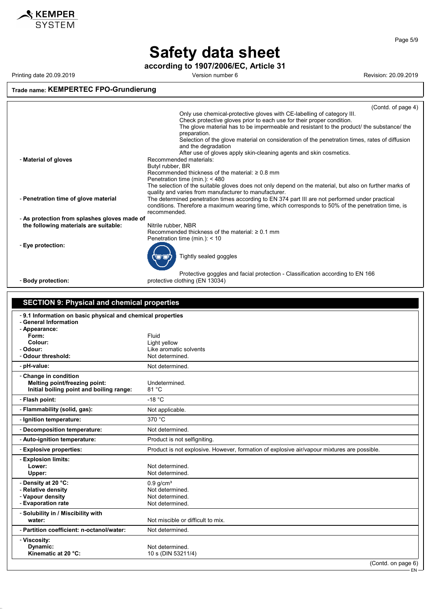

## **Safety data sheet**

**according to 1907/2006/EC, Article 31**

Printing date 20.09.2019 **Printing date 20.09.2019** Version number 6 **Revision: 20.09.2019** Revision: 20.09.2019

### **Trade name: KEMPERTEC FPO-Grundierung**

|                                                                                     | (Contd. on page 6)<br>EN-                                                                                                                                                                                                                                      |
|-------------------------------------------------------------------------------------|----------------------------------------------------------------------------------------------------------------------------------------------------------------------------------------------------------------------------------------------------------------|
| Kinematic at 20 °C:                                                                 | 10 s (DIN 53211/4)                                                                                                                                                                                                                                             |
| Dynamic:                                                                            | Not determined.                                                                                                                                                                                                                                                |
| - Partition coefficient: n-octanol/water:<br>- Viscosity:                           | Not determined.                                                                                                                                                                                                                                                |
| water:                                                                              | Not miscible or difficult to mix.                                                                                                                                                                                                                              |
| - Solubility in / Miscibility with                                                  |                                                                                                                                                                                                                                                                |
| - Vapour density<br>- Evaporation rate                                              | Not determined.<br>Not determined.                                                                                                                                                                                                                             |
| - Relative density                                                                  | Not determined.                                                                                                                                                                                                                                                |
| - Density at 20 °C:                                                                 | $0.9$ g/cm <sup>3</sup>                                                                                                                                                                                                                                        |
| Lower:<br>Upper:                                                                    | Not determined.<br>Not determined.                                                                                                                                                                                                                             |
| - Explosion limits:                                                                 |                                                                                                                                                                                                                                                                |
| - Explosive properties:                                                             | Product is not explosive. However, formation of explosive air/vapour mixtures are possible.                                                                                                                                                                    |
| - Auto-ignition temperature:                                                        | Product is not selfigniting.                                                                                                                                                                                                                                   |
| - Decomposition temperature:                                                        | Not determined.                                                                                                                                                                                                                                                |
| - Ignition temperature:                                                             | 370 °C                                                                                                                                                                                                                                                         |
| - Flash point:<br>- Flammability (solid, gas):                                      | $-18 °C$<br>Not applicable.                                                                                                                                                                                                                                    |
| Melting point/freezing point:<br>Initial boiling point and boiling range:           | Undetermined.<br>81 °C                                                                                                                                                                                                                                         |
| - Change in condition                                                               |                                                                                                                                                                                                                                                                |
| - pH-value:                                                                         | Not determined.                                                                                                                                                                                                                                                |
| - Odour:<br>- Odour threshold:                                                      | Like aromatic solvents<br>Not determined.                                                                                                                                                                                                                      |
| Colour:                                                                             | Light yellow                                                                                                                                                                                                                                                   |
| - Appearance:<br>Form:                                                              | Fluid                                                                                                                                                                                                                                                          |
| -9.1 Information on basic physical and chemical properties<br>- General Information |                                                                                                                                                                                                                                                                |
|                                                                                     |                                                                                                                                                                                                                                                                |
| <b>SECTION 9: Physical and chemical properties</b>                                  |                                                                                                                                                                                                                                                                |
| - Body protection:                                                                  | protective clothing (EN 13034)                                                                                                                                                                                                                                 |
|                                                                                     | Protective goggles and facial protection - Classification according to EN 166                                                                                                                                                                                  |
|                                                                                     | Tightly sealed goggles                                                                                                                                                                                                                                         |
| - Eye protection:                                                                   |                                                                                                                                                                                                                                                                |
|                                                                                     | Penetration time (min.): < 10                                                                                                                                                                                                                                  |
| the following materials are suitable:                                               | Nitrile rubber, NBR<br>Recommended thickness of the material: $\geq 0.1$ mm                                                                                                                                                                                    |
| - As protection from splashes gloves made of                                        | recommended.                                                                                                                                                                                                                                                   |
| - Penetration time of glove material                                                | quality and varies from manufacturer to manufacturer.<br>The determined penetration times according to EN 374 part III are not performed under practical<br>conditions. Therefore a maximum wearing time, which corresponds to 50% of the penetration time, is |
|                                                                                     | Recommended thickness of the material: $\geq 0.8$ mm<br>Penetration time (min.): < 480<br>The selection of the suitable gloves does not only depend on the material, but also on further marks of                                                              |
| - Material of gloves                                                                | After use of gloves apply skin-cleaning agents and skin cosmetics.<br>Recommended materials:<br>Butyl rubber, BR                                                                                                                                               |
|                                                                                     | Selection of the glove material on consideration of the penetration times, rates of diffusion<br>and the degradation                                                                                                                                           |
|                                                                                     | preparation.                                                                                                                                                                                                                                                   |
|                                                                                     | Check protective gloves prior to each use for their proper condition.<br>The glove material has to be impermeable and resistant to the product/ the substance/ the                                                                                             |
|                                                                                     | (Contd. of page 4)<br>Only use chemical-protective gloves with CE-labelling of category III.                                                                                                                                                                   |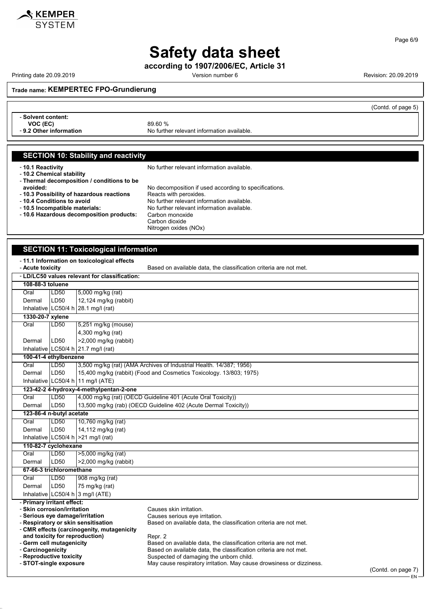

Printing date 20.09.2019 **Printing date 20.09.2019** Version number 6 **Revision: 20.09.2019** Revision: 20.09.2019

KEMPER **SYSTEM** 

**Trade name: KEMPERTEC FPO-Grundierung**

|                                                           |                                                       | (Contd. of page 5) |
|-----------------------------------------------------------|-------------------------------------------------------|--------------------|
| - Solvent content:<br>VOC (EC)<br>- 9.2 Other information | 89.60 %<br>No further relevant information available. |                    |
|                                                           |                                                       |                    |
| <b>SECTION 10: Stability and reactivity</b>               |                                                       |                    |
| -10.1 Reactivity                                          | No further relevant information available.            |                    |

- **10.2 Chemical stability** - **Thermal decomposition / conditions to be** No decomposition if used according to specifications.<br>Reacts with peroxides. - 10.3 Possibility of hazardous reactions<br>- 10.4 Conditions to avoid - **10.4 Conditions to avoid**<br> **10.5 Incompatible materials:** No further relevant information available.<br>
No further relevant information available. - **10.5 Incompatible materials:** No further relevant information available. - **10.6 Hazardous decomposition products:** Carbon monoxide Carbon dioxide Nitrogen oxides (NOx)

### **SECTION 11: Toxicological information**

| - 11.1 Information on toxicological effects |                                                                                                                                        |                                                                              |                                                                                                                                            |  |
|---------------------------------------------|----------------------------------------------------------------------------------------------------------------------------------------|------------------------------------------------------------------------------|--------------------------------------------------------------------------------------------------------------------------------------------|--|
|                                             | - Acute toxicity<br>Based on available data, the classification criteria are not met.<br>- LD/LC50 values relevant for classification: |                                                                              |                                                                                                                                            |  |
|                                             |                                                                                                                                        |                                                                              |                                                                                                                                            |  |
| 108-88-3 toluene                            |                                                                                                                                        |                                                                              |                                                                                                                                            |  |
| Oral                                        | LD50                                                                                                                                   | 5,000 mg/kg (rat)                                                            |                                                                                                                                            |  |
| Dermal                                      | LD50                                                                                                                                   | 12,124 mg/kg (rabbit)                                                        |                                                                                                                                            |  |
| 1330-20-7 xylene                            |                                                                                                                                        | Inhalative $LC50/4 h$ 28.1 mg/l (rat)                                        |                                                                                                                                            |  |
| Oral                                        | LD50                                                                                                                                   | 5,251 mg/kg (mouse)                                                          |                                                                                                                                            |  |
|                                             |                                                                                                                                        | 4,300 mg/kg (rat)                                                            |                                                                                                                                            |  |
| Dermal                                      | LD50                                                                                                                                   | >2,000 mg/kg (rabbit)                                                        |                                                                                                                                            |  |
|                                             |                                                                                                                                        |                                                                              |                                                                                                                                            |  |
|                                             |                                                                                                                                        | Inhalative $LC50/4 h$ 21.7 mg/l (rat)                                        |                                                                                                                                            |  |
| 100-41-4 ethylbenzene<br>Oral               | LD50                                                                                                                                   |                                                                              |                                                                                                                                            |  |
|                                             | LD50                                                                                                                                   |                                                                              | 3,500 mg/kg (rat) (AMA Archives of Industrial Health. 14/387; 1956)<br>15,400 mg/kg (rabbit) (Food and Cosmetics Toxicology. 13/803; 1975) |  |
| Dermal                                      |                                                                                                                                        |                                                                              |                                                                                                                                            |  |
|                                             |                                                                                                                                        | Inhalative LC50/4 h 11 mg/l (ATE)<br>123-42-2 4-hydroxy-4-methylpentan-2-one |                                                                                                                                            |  |
| Oral                                        | LD50                                                                                                                                   |                                                                              | 4,000 mg/kg (rat) (OECD Guideline 401 (Acute Oral Toxicity))                                                                               |  |
| Dermal                                      | LD50                                                                                                                                   |                                                                              | 13,500 mg/kg (rab) (OECD Guideline 402 (Acute Dermal Toxicity))                                                                            |  |
| 123-86-4 n-butyl acetate                    |                                                                                                                                        |                                                                              |                                                                                                                                            |  |
| Oral                                        | LD50                                                                                                                                   | 10,760 mg/kg (rat)                                                           |                                                                                                                                            |  |
| Dermal                                      | 14,112 mg/kg (rat)<br>LD50                                                                                                             |                                                                              |                                                                                                                                            |  |
|                                             | Inhalative LC50/4 h $>21$ mg/l (rat)                                                                                                   |                                                                              |                                                                                                                                            |  |
| 110-82-7 cyclohexane                        |                                                                                                                                        |                                                                              |                                                                                                                                            |  |
| $\overline{OraI}$                           | LD50                                                                                                                                   | >5,000 mg/kg (rat)                                                           |                                                                                                                                            |  |
| Dermal                                      | LD50                                                                                                                                   | $>2,000$ mg/kg (rabbit)                                                      |                                                                                                                                            |  |
| 67-66-3 trichloromethane                    |                                                                                                                                        |                                                                              |                                                                                                                                            |  |
| Oral                                        | LD50                                                                                                                                   | 908 mg/kg (rat)                                                              |                                                                                                                                            |  |
| Dermal                                      | LD50                                                                                                                                   | 75 mg/kg (rat)                                                               |                                                                                                                                            |  |
|                                             |                                                                                                                                        |                                                                              |                                                                                                                                            |  |
|                                             | Inhalative LC50/4 h 3 mg/l (ATE)<br>- Primary irritant effect:                                                                         |                                                                              |                                                                                                                                            |  |
| - Skin corrosion/irritation                 |                                                                                                                                        |                                                                              | Causes skin irritation.                                                                                                                    |  |
| - Serious eye damage/irritation             |                                                                                                                                        |                                                                              | Causes serious eye irritation.                                                                                                             |  |
|                                             |                                                                                                                                        | - Respiratory or skin sensitisation                                          | Based on available data, the classification criteria are not met.                                                                          |  |
|                                             |                                                                                                                                        | - CMR effects (carcinogenity, mutagenicity                                   |                                                                                                                                            |  |
| - Germ cell mutagenicity                    |                                                                                                                                        | and toxicity for reproduction)                                               | Repr. 2<br>Based on available data, the classification criteria are not met.                                                               |  |
| - Carcinogenicity                           |                                                                                                                                        |                                                                              | Based on available data, the classification criteria are not met.                                                                          |  |
| - Reproductive toxicity                     |                                                                                                                                        |                                                                              | Suspected of damaging the unborn child.                                                                                                    |  |
| - STOT-single exposure                      |                                                                                                                                        |                                                                              | May cause respiratory irritation. May cause drowsiness or dizziness.                                                                       |  |
|                                             | (Contdonnone 7)                                                                                                                        |                                                                              |                                                                                                                                            |  |

(Contd. on page 7) EN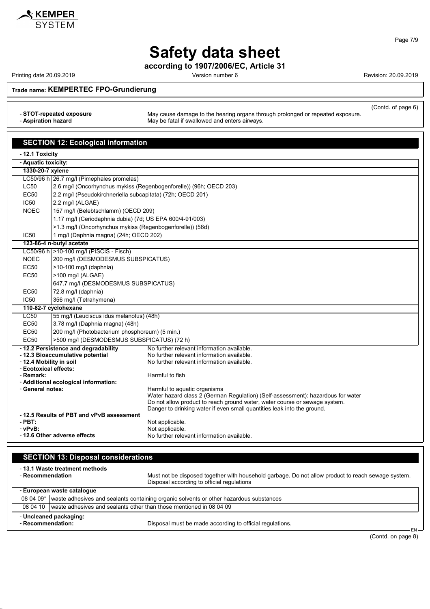

Page 7/9

## **Safety data sheet**

**according to 1907/2006/EC, Article 31**

Printing date 20.09.2019 **Printing date 20.09.2019** Version number 6 **Revision: 20.09.2019** Revision: 20.09.2019

(Contd. of page 6)

**Trade name: KEMPERTEC FPO-Grundierung**

- **STOT-repeated exposure** May cause damage to the hearing organs through prolonged or repeated exposure. - **Aspiration hazard** May be fatal if swallowed and enters airways.

**SECTION 12: Ecological information** - **12.1 Toxicity** - **Aquatic toxicity: 1330-20-7 xylene** LC50/96 h 26.7 mg/l (Pimephales promelas) LC50 2.6 mg/l (Oncorhynchus mykiss (Regenbogenforelle)) (96h; OECD 203) EC50 2.2 mg/l (Pseudokirchneriella subcapitata) (72h; OECD 201) IC50 2.2 mg/l (ALGAE) NOEC 157 mg/l (Belebtschlamm) (OECD 209) 1.17 mg/l (Ceriodaphnia dubia) (7d; US EPA 600/4-91/003) >1.3 mg/l (Oncorhynchus mykiss (Regenbogenforelle)) (56d) IC50 | 1 mg/l (Daphnia magna) (24h; OECD 202) **123-86-4 n-butyl acetate** LC50/96 h >10-100 mg/l (PISCIS - Fisch) NOEC 200 mg/l (DESMODESMUS SUBSPICATUS) EC50 >10-100 mg/l (daphnia) EC50 >100 mg/l (ALGAE) 647.7 mg/l (DESMODESMUS SUBSPICATUS) EC50 72.8 mg/l (daphnia) IC50 356 mg/l (Tetrahymena) **110-82-7 cyclohexane** LC50 | 55 mg/l (Leuciscus idus melanotus) (48h) EC50 3.78 mg/l (Daphnia magna) (48h) EC50 200 mg/l (Photobacterium phosphoreum) (5 min.) EC50 >500 mg/l (DESMODESMUS SUBSPICATUS) (72 h) - **12.2 Persistence and degradability** No further relevant information available. - **12.3 Bioaccumulative potential** No further relevant information available.<br>- **12.4 Mobility in soil** No further relevant information available. No further relevant information available. - **Ecotoxical effects:** - **Remark:** Harmful to fish - **Additional ecological information:** - **General notes:** Harmful to aquatic organisms Water hazard class 2 (German Regulation) (Self-assessment): hazardous for water Do not allow product to reach ground water, water course or sewage system. Danger to drinking water if even small quantities leak into the ground. - **12.5 Results of PBT and vPvB assessment** - **PBT:**<br>
- vPvR·<br>
- vPvR· **- vPvB:** Not applicable.<br> **- 12.6 Other adverse effects** All the Moturther relev - **12.6 Other adverse effects** No further relevant information available.

| <b>SECTION 13: Disposal considerations</b>                                                              |                                                                                        |                                                                                                    |  |
|---------------------------------------------------------------------------------------------------------|----------------------------------------------------------------------------------------|----------------------------------------------------------------------------------------------------|--|
| -13.1 Waste treatment methods<br>- Recommendation<br>Disposal according to official regulations         |                                                                                        | Must not be disposed together with household garbage. Do not allow product to reach sewage system. |  |
|                                                                                                         | - European waste catalogue                                                             |                                                                                                    |  |
| 08 04 09*                                                                                               | waste adhesives and sealants containing organic solvents or other hazardous substances |                                                                                                    |  |
| 08 04 10                                                                                                | waste adhesives and sealants other than those mentioned in 08 04 09                    |                                                                                                    |  |
| - Uncleaned packaging:<br>- Recommendation:<br>Disposal must be made according to official regulations. |                                                                                        |                                                                                                    |  |

EN (Contd. on page 8)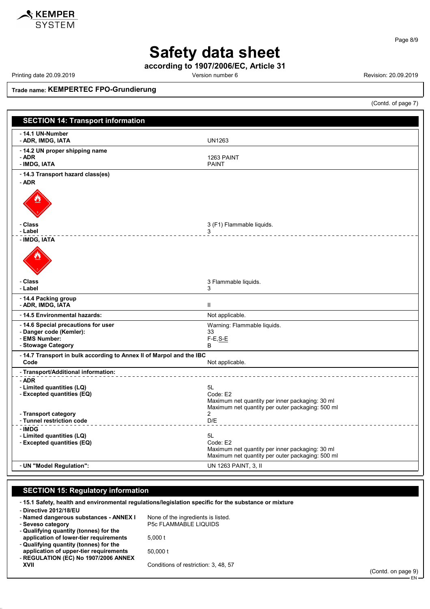

Page 8/9

# **Safety data sheet**

**according to 1907/2006/EC, Article 31**

Printing date 20.09.2019 **Printing date 20.09.2019** Version number 6 **Revision: 20.09.2019** Revision: 20.09.2019

**Trade name: KEMPERTEC FPO-Grundierung**

(Contd. of page 7)

| <b>SECTION 14: Transport information</b>                                     |                                                                                                     |
|------------------------------------------------------------------------------|-----------------------------------------------------------------------------------------------------|
| - 14.1 UN-Number<br>- ADR, IMDG, IATA                                        | <b>UN1263</b>                                                                                       |
| - 14.2 UN proper shipping name                                               |                                                                                                     |
| - ADR                                                                        | 1263 PAINT                                                                                          |
| - IMDG, IATA<br>- 14.3 Transport hazard class(es)                            | <b>PAINT</b>                                                                                        |
| - ADR                                                                        |                                                                                                     |
| - Class                                                                      | 3 (F1) Flammable liquids.                                                                           |
| - Label                                                                      | 3<br>______________________                                                                         |
| - IMDG, IATA                                                                 |                                                                                                     |
| - Class<br>- Label                                                           | 3 Flammable liquids.<br>3                                                                           |
| - 14.4 Packing group                                                         |                                                                                                     |
| - ADR, IMDG, IATA                                                            | $\mathbf{H}$                                                                                        |
| - 14.5 Environmental hazards:                                                | Not applicable.                                                                                     |
| -14.6 Special precautions for user<br>- Danger code (Kemler):                | Warning: Flammable liquids.<br>33                                                                   |
| - EMS Number:                                                                | $F-E, S-E$                                                                                          |
| - Stowage Category                                                           | B                                                                                                   |
| - 14.7 Transport in bulk according to Annex II of Marpol and the IBC<br>Code | Not applicable.                                                                                     |
| - Transport/Additional information:                                          |                                                                                                     |
| - ADR<br>- Limited quantities (LQ)<br>- Excepted quantities (EQ)             | 5L<br>Code: E2                                                                                      |
|                                                                              | Maximum net quantity per inner packaging: 30 ml<br>Maximum net quantity per outer packaging: 500 ml |
| - Transport category<br>- Tunnel restriction code                            | $\overline{2}$<br>D/E                                                                               |
| - IMDG                                                                       |                                                                                                     |
| - Limited quantities (LQ)<br>- Excepted quantities (EQ)                      | 5L<br>Code: E2                                                                                      |
|                                                                              | Maximum net quantity per inner packaging: 30 ml                                                     |
|                                                                              | Maximum net quantity per outer packaging: 500 ml                                                    |
| - UN "Model Regulation":                                                     | UN 1263 PAINT, 3, II                                                                                |

### **SECTION 15: Regulatory information**

- **15.1 Safety, health and environmental regulations/legislation specific for the substance or mixture**

| None of the ingredients is listed.   |
|--------------------------------------|
| <b>P5c FLAMMABLE LIQUIDS</b>         |
|                                      |
| 5.000 t                              |
|                                      |
| 50,000 t                             |
|                                      |
| Conditions of restriction: 3, 48, 57 |
|                                      |
|                                      |

(Contd. on page 9) EN